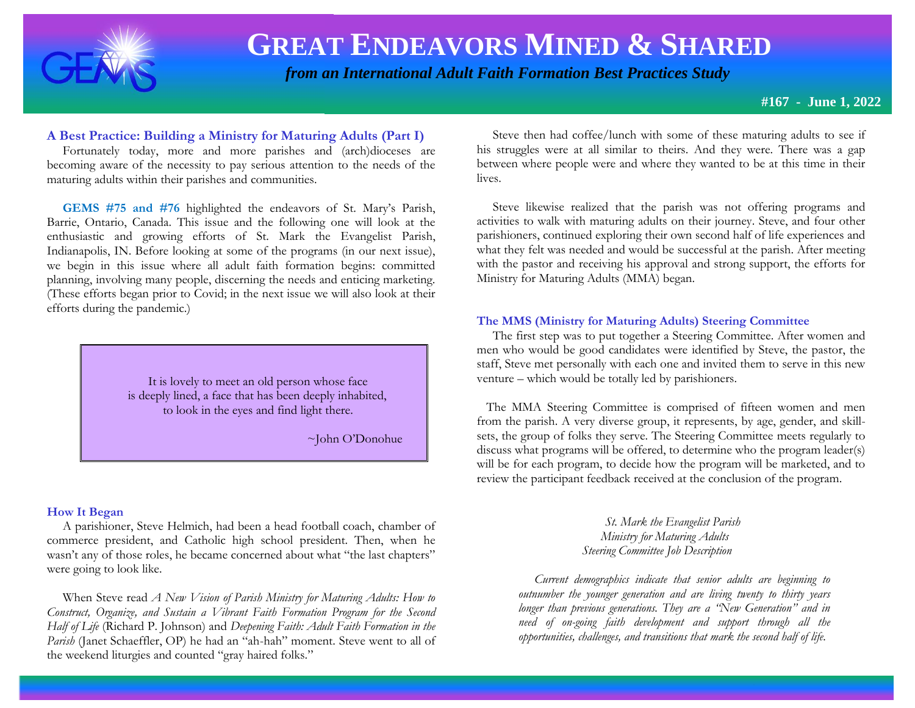

 *from an International Adult Faith Formation Best Practices Study*

**#167 - June 1, 2022**

### **A Best Practice: Building a Ministry for Maturing Adults (Part I)**

 Fortunately today, more and more parishes and (arch)dioceses are becoming aware of the necessity to pay serious attention to the needs of the maturing adults within their parishes and communities.

 **GEMS #75 and #76** highlighted the endeavors of St. Mary's Parish, Barrie, Ontario, Canada. This issue and the following one will look at the enthusiastic and growing efforts of St. Mark the Evangelist Parish, Indianapolis, IN. Before looking at some of the programs (in our next issue), we begin in this issue where all adult faith formation begins: committed planning, involving many people, discerning the needs and enticing marketing. (These efforts began prior to Covid; in the next issue we will also look at their efforts during the pandemic.)

> It is lovely to meet an old person whose face is deeply lined, a face that has been deeply inhabited, to look in the eyes and find light there.

> > ~John O'Donohue

#### **How It Began**

 A parishioner, Steve Helmich, had been a head football coach, chamber of commerce president, and Catholic high school president. Then, when he wasn't any of those roles, he became concerned about what "the last chapters" were going to look like.

 When Steve read *A New Vision of Parish Ministry for Maturing Adults: How to Construct, Organize, and Sustain a Vibrant Faith Formation Program for the Second Half of Life* (Richard P. Johnson) and *Deepening Faith: Adult Faith Formation in the Parish* (Janet Schaeffler, OP) he had an "ah-hah" moment. Steve went to all of the weekend liturgies and counted "gray haired folks."

 Steve then had coffee/lunch with some of these maturing adults to see if his struggles were at all similar to theirs. And they were. There was a gap between where people were and where they wanted to be at this time in their lives.

 Steve likewise realized that the parish was not offering programs and activities to walk with maturing adults on their journey. Steve, and four other parishioners, continued exploring their own second half of life experiences and what they felt was needed and would be successful at the parish. After meeting with the pastor and receiving his approval and strong support, the efforts for Ministry for Maturing Adults (MMA) began.

#### **The MMS (Ministry for Maturing Adults) Steering Committee**

 The first step was to put together a Steering Committee. After women and men who would be good candidates were identified by Steve, the pastor, the staff, Steve met personally with each one and invited them to serve in this new venture – which would be totally led by parishioners.

 The MMA Steering Committee is comprised of fifteen women and men from the parish. A very diverse group, it represents, by age, gender, and skillsets, the group of folks they serve. The Steering Committee meets regularly to discuss what programs will be offered, to determine who the program leader(s) will be for each program, to decide how the program will be marketed, and to review the participant feedback received at the conclusion of the program.

### *St. Mark the Evangelist Parish Ministry for Maturing Adults Steering Committee Job Description*

 *Current demographics indicate that senior adults are beginning to outnumber the younger generation and are living twenty to thirty years longer than previous generations. They are a "New Generation" and in need of on-going faith development and support through all the opportunities, challenges, and transitions that mark the second half of life.*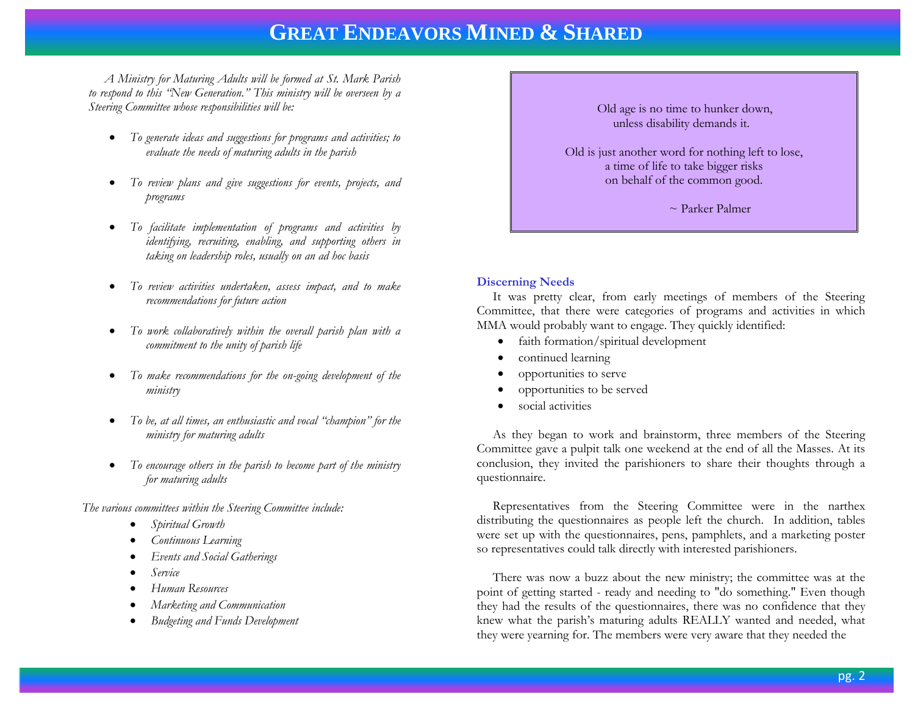*A Ministry for Maturing Adults will be formed at St. Mark Parish to respond to this "New Generation." This ministry will be overseen by a Steering Committee whose responsibilities will be:*

- *To generate ideas and suggestions for programs and activities; to evaluate the needs of maturing adults in the parish*
- *To review plans and give suggestions for events, projects, and programs*
- *To facilitate implementation of programs and activities by identifying, recruiting, enabling, and supporting others in taking on leadership roles, usually on an ad hoc basis*
- *To review activities undertaken, assess impact, and to make recommendations for future action*
- *To work collaboratively within the overall parish plan with a commitment to the unity of parish life*
- *To make recommendations for the on-going development of the ministry*
- *To be, at all times, an enthusiastic and vocal "champion" for the ministry for maturing adults*
- *To encourage others in the parish to become part of the ministry for maturing adults*

 *The various committees within the Steering Committee include:*

- *Spiritual Growth*
- *Continuous Learning*
- *Events and Social Gatherings*
- *Service*
- *Human Resources*
- *Marketing and Communication*
- *Budgeting and Funds Development*

 Old age is no time to hunker down, unless disability demands it. Old is just another word for nothing left to lose, a time of life to take bigger risks on behalf of the common good.  $\sim$  Parker Palmer

### **Discerning Needs**

 It was pretty clear, from early meetings of members of the Steering Committee, that there were categories of programs and activities in which MMA would probably want to engage. They quickly identified:

- faith formation/spiritual development
- continued learning
- opportunities to serve
- opportunities to be served
- social activities

 As they began to work and brainstorm, three members of the Steering Committee gave a pulpit talk one weekend at the end of all the Masses. At its conclusion, they invited the parishioners to share their thoughts through a questionnaire.

 Representatives from the Steering Committee were in the narthex distributing the questionnaires as people left the church. In addition, tables were set up with the questionnaires, pens, pamphlets, and a marketing poster so representatives could talk directly with interested parishioners.

 There was now a buzz about the new ministry; the committee was at the point of getting started - ready and needing to "do something." Even though they had the results of the questionnaires, there was no confidence that they knew what the parish's maturing adults REALLY wanted and needed, what they were yearning for. The members were very aware that they needed the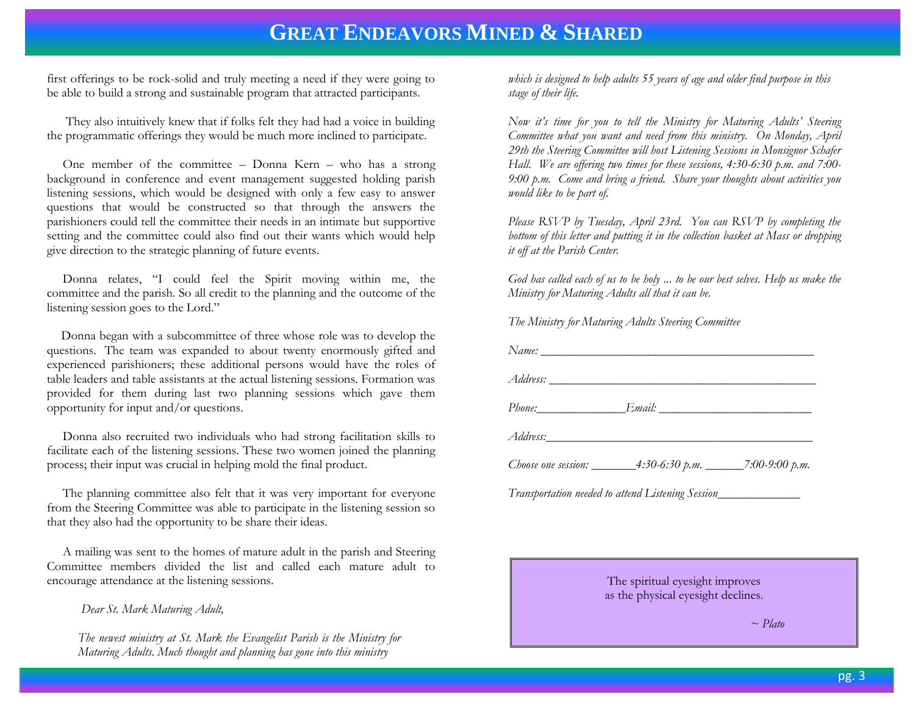first offerings to be rock-solid and truly meeting a need if they were going to be able to build a strong and sustainable program that attracted participants.

 They also intuitively knew that if folks felt they had had a voice in building the programmatic offerings they would be much more inclined to participate.

 One member of the committee – Donna Kern – who has a strong background in conference and event management suggested holding parish listening sessions, which would be designed with only a few easy to answer questions that would be constructed so that through the answers the parishioners could tell the committee their needs in an intimate but supportive setting and the committee could also find out their wants which would help give direction to the strategic planning of future events.

 Donna relates, "I could feel the Spirit moving within me, the committee and the parish. So all credit to the planning and the outcome of the listening session goes to the Lord."

 Donna began with a subcommittee of three whose role was to develop the questions. The team was expanded to about twenty enormously gifted and experienced parishioners; these additional persons would have the roles of table leaders and table assistants at the actual listening sessions. Formation was provided for them during last two planning sessions which gave them opportunity for input and/or questions.

 Donna also recruited two individuals who had strong facilitation skills to facilitate each of the listening sessions. These two women joined the planning process; their input was crucial in helping mold the final product.

 The planning committee also felt that it was very important for everyone from the Steering Committee was able to participate in the listening session so that they also had the opportunity to be share their ideas.

 A mailing was sent to the homes of mature adult in the parish and Steering Committee members divided the list and called each mature adult to encourage attendance at the listening sessions.

*Dear St. Mark Maturing Adult,*

*The newest ministry at St. Mark the Evangelist Parish is the Ministry for Maturing Adults. Much thought and planning has gone into this ministry*

*which is designed to help adults 55 years of age and older find purpose in this stage of their life.*

*Now it's time for you to tell the Ministry for Maturing Adults' Steering Committee what you want and need from this ministry. On Monday, April 29th the Steering Committee will host Listening Sessions in Monsignor Schafer Hall. We are offering two times for these sessions, 4:30-6:30 p.m. and 7:00- 9:00 p.m. Come and bring a friend. Share your thoughts about activities you would like to be part of.*

*Please RSVP by Tuesday, April 23rd. You can RSVP by completing the bottom of this letter and putting it in the collection basket at Mass or dropping it off at the Parish Center.* 

*God has called each of us to be holy ... to be our best selves. Help us make the Ministry for Maturing Adults all that it can be.*

*The Ministry for Maturing Adults Steering Committee*

| Phone: Email: Email:                                              |  |
|-------------------------------------------------------------------|--|
|                                                                   |  |
| Choose one session: _________4:30-6:30 p.m. _______7:00-9:00 p.m. |  |
| Transportation needed to attend Listening Session_______________  |  |

The spiritual eyesight improves as the physical eyesight declines.

 *~ Plato*